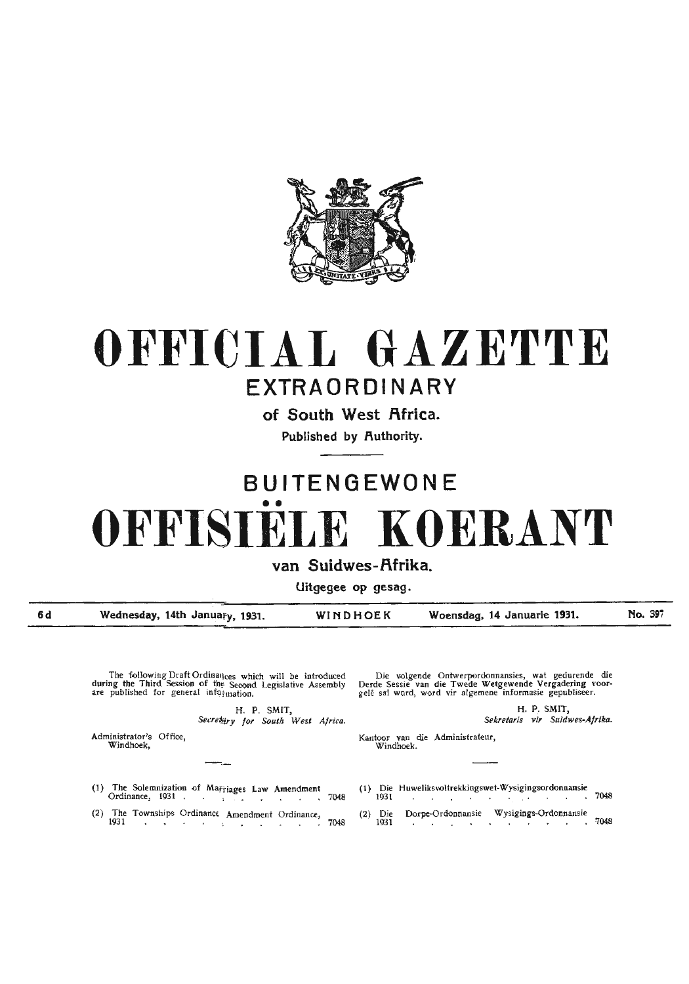

## **OFFICIAL GAZETTE EXTRAORDINARY**

**of South West Africa.** 

Published by Authority.

# **BUITENGEWONE**  •• **OFFISIELE KOERANT**

van Suidwes-Afrika.

**Uitgegee op gesag.** 

**6d** 

**Wednesday, 14th January, 1931. WINDHOEK Woensdag, 14 Januarie 1931.** 

**No. 39i** 

The following Draft Ordinances which will be introduced during the Third Session of the Second Legislative Assembly are published for general info *imation*.

> H. P. SMIT, Secretary for South West Africa.

Administrator's Office, Windhoek,

Die volgende Ontwerperdonnansies, wat gedurende die Derde Sessie van die Twede Wetgewende Vergadering voor-<br>gele sal word, word vir algemene informasie gepubliseer.

> **H.P. SMIT,**  *Sekrelaris vir Suidwes-Afrika.*

Kantoor van die Administrateur, Windhoek.

- 
- (2) Die 1931 Dorpe-Ordonnansie Wysigings-Ordonnansie 7048

(1) The Solemnization of Mariages Law Amendment (1) Die Huweliksvoltrekkingswet-Wysigingsordonnansie Ordinance, 1931 . , . . 7048

--

(2) The Townships Ordinance Amendment Ordinance,  $1931$  .  $7048$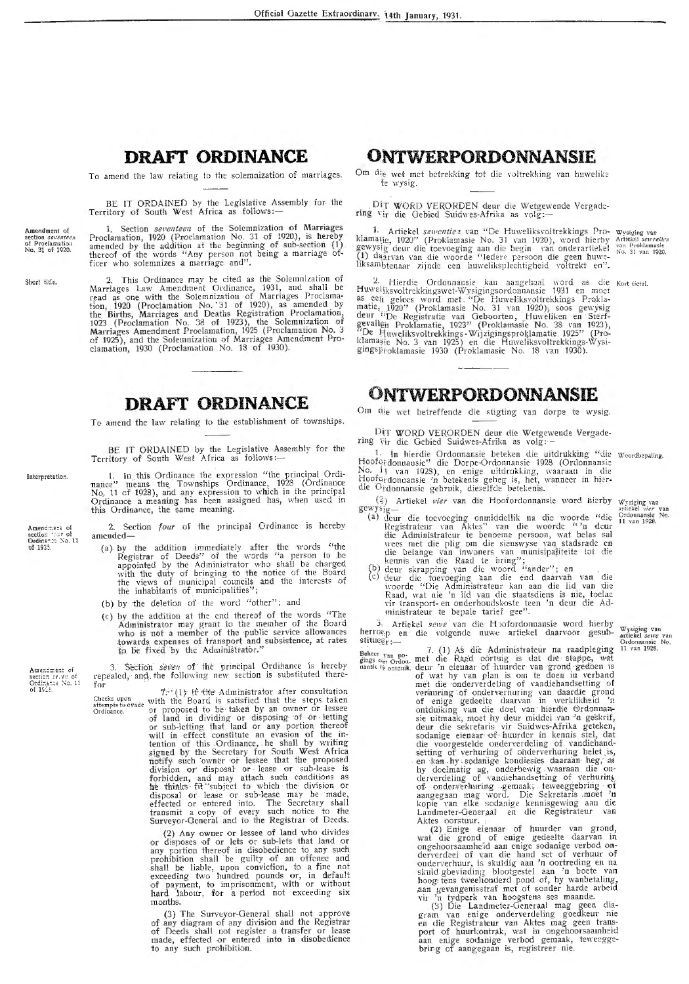#### **DRAFT ORDINANCE**

To amend the law relating to the solemnization of marriages.

BE IT ORDAINED by the Legislative Assembly for the<br>Territory of South West Africa as follows:-

Amendment of section *seventeen*<br>of Proelamation<br>No. 31 of 1920.

Short title.

1. Section *seventeen* of the Solemnization of Marriages Proclamation, 1920 (Proclamation No. 31 of 1920), is hereby amended by the addition at the beginning of sub-section (1) thereof of the words "Any person not being a

2. This Ordinance may be cited as the Solemnization of<br>Marriages Law Amendment Ordinance, 1931, and shall be<br>read as one with the Solemnization of Marriages Proclama-<br>tion, 1920 (Proclamation No. 31 of 1920), as amended by

### **DRAFT ORDINANCE**

To amend the law relating to the establishment of townships.

BE IT ORDAINED by the Legislative Assembly for the Territory of South West Africa as follows:-

1. In this Ordinance the expression "the principal Ordinance" means the Townships Ordinance, 1928 (Ordinance No. 11 of 1928), and any expression to which in the principal Ordinance a meaning has been assigned has, when use

Amendment of<br>section that of<br>Ordinance No. 11<br>of 1925.

Interpretation.

2. Section four of the principal Ordinance is hereby amended-

- (a) by the addition immediately after the words "the Registrar of Deeds" of the words "a person to be appointed by the Administrator who shall be charged with the duty of bringing to the notice of the Board the views of mu
- (b) by the deletion of the word "other"; and
- (c) by the addition at the end thereof of the words "The Administrator may grant to the member of the Board who is not a member of the public service allowances towards expenses of transport and subsistence, at rates to be

Section seven of the principal Ordinance is hereby repealed, and the following new section is substituted there-

Ameniment of section *serven* of<br>Ordinance No. 11<br>of 1918.

The relation of the Board is substituted inter-<br>for<br>the change with the Board is satisfied that the steps taken<br>attempts to evade with the Board is satisfied that the steps taken<br>or proposed to be taken by an owner or less

(2) Any owner or lessee of land who divides (2) Any owner or lessee of land who divides<br>or disposes of or lets or sub-lets that land or<br>any portion thereof in disobedience to any such<br>prohibition shall be quilty of an offenee and<br>shall be liable, upon conviction, to months.

(3) The Surveyor-General shall not approve<br>of any diagram of any division and the Registrar<br>of Deeds shall not register a transfer or lease<br>made, effected or entered into in disobedience<br>to any such prohibition.

### ONTWERPORDONNANSIE

Om die wet met betrekking tot die voltrekking van huwelike te wysig.

DIT WORD VERORDEN deur die Wetgewende Vergadering vir die Gebied Suidwes-Afrika as volg:-

1. Artickel sewenties van "De Huweliksvoltrekkings Pro- wysiging van klamatie, 1920" (Proklamasie No. 31 van 1920), word hierby Artickel sewenties gewysig deur die toevoeging aan die begin van onderartiekel van Proklamasie

2. Hierdie Ordonnansie kan aangehaal word as die Kortietel.<br>Huweijksvoltrekkingswet-Wysigingsordonnansie 1931 en moet as een gelees word met "De Huweliksvoltrekkings Proklamatie, 1920" (Proklamasie No. 31 van 1920), soos g

#### ONTWERPORDONNANSIE

Om die wet betreffende die stigting van dorpe te wysig.

DIT WORD VERORDEN deur die Wetgewende Vergadering vir die Gebied Suidwes-Afrika as volg: -

1. In hierdie Ordonnansie beteken die uitdrukking "die woordbepaling.<br>Hoofgrdonnansie" die Dorpe-Ordonnansie 1928 (Ordonnansie No. 11 van 1928), en enige uitdrukking, waaraan in die<br>Hooferdonnansie 'n betekenis geheg is, het, wanneer in hier-<br>die Ordonnansie gebruik, dieselfde betekenis.

- die Ordonnansie gebruik, dieselfde betekenis.<br>
(2) Artiekel *vier* van die Hoofordonnansie word hierby wysiging van<br>
gewysig—<br>
(a) deur die toevoeging onmiddellik na die woorde "die <sup>Ordonnansie</sup> No.<br>
Registrateur van Akte
	- vir transport- en onderhoudskoste teen 'n deur die Administrateur te bepale tarief gee".

Artickel sewe van die Hoofordonnansie word hierby herroep en die volgende nuwe artiekel daarvoor gesub $stitues_{r}$ :

neri usep en die volgende nuwe artiekel daarvoor gesub-<br>situser:—<br>het in noch met die Raad oortzig is dat die stappe, wat space van noch met die Raad oortzig is dat die stappe, wat<br>haast të ontduk deur 'n eienaar of huurde Aktes porstuur.

Akes oorstuur.<br>
(2) Enige eienaar of huurder van grond,<br>
(2) Enige eienaar of huurder van grond,<br>
wat die grond of enige gedeelte daarvan in<br>
ongehoorsaamheid aan enige sodanige verbod on-<br>
derverdeel of van die hand set o

Wysiging van<br>artiekel sewe van<br>Ordonnansie No.<br>11 van 1928.